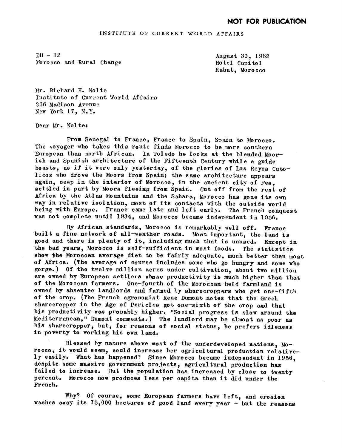INSTITUTE OF CURRENT WORLD AFFAIRS

 $DH - 12$ Morocco and Rural Change

August 30, 1962 Hotel Capi tol Rabat, Morocco

Mr. Richard H. Nolte Institute of Current World Affairs 366 Madi son Avenue New York 17. N.Y.

Dear Mr. Nolte:

From Senegal to France, France to Spain, Spain to Morocco. The voyager who takes this route finds Morocco to be more southern European than north African. In Toledo he looks at he blended Moorish and Spanish architecture of the Fifteenth Century while a guide boasts, as if it were only yesterday, of the glories of Los Reyes Catolicos who drove the Moors from Spain; the same architecture appears again. deep in the interior of Morocco, in the ancient city of Fes. settled in part by Moors fleeing from Spain. Cut off from the rest of Africa by the Atlas Mountains and the Sahara, Morocco has gone its own way in relative isolation, most of its contacts with the outside world. being with Europe. France came late and left early. The French conquest was not complete until 1934, and Morocco became independent in 1956.

By African standards, Morocco is remarkably well off. France built a fine network of all-weather roads. Most important, the land is good and there is plenty of it, including much that is unused. Except in the bad years, Morocco is self-sufficient in most foods. The statistics show the Moroccan average diet to be fairly adequate, much better than most of Africa. (The average of course includes some who go hungry and some who gorge.) Of the twelve million acres under cultivation about two million are owned by European settlers whose productivity is much higher than that of the Moroccan farmers. 0ne-fourth of the Moroccan-held farmland is owned by absentee landlords and farmed by sharecroppers who get one-fifth of the crop. (The French agronomist Rene Dumont notes that the Greek sharecropper in the Age of Pericles got one-sixth of the crop and that his productivity was probably higher. "Social progress is slow around the Mediterranean," Dumont comments.) The landlord may be almost as poor as his sharecropper, but, for reasons of social status, he prefers idleness in poverty to working his own land.

Blessed by nature above most of the underdeveloped nations,  $Mo$ rocco, it would seem, could increase her agricultural production relatively easily. What has happened? Since Morocco became independent in 1956 despite some massive government projects, agricultural production has failed to increase. But the population has increased by close to twenty percent. Morocco now produces less per capita than it did under the French.

Why? Of course, some European farmers have left, and erosion washes away its 75,000 hectares of good land every year - but the reasons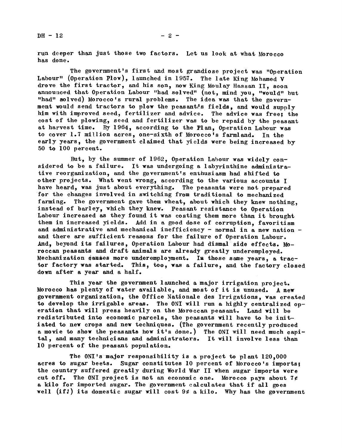run deeper than just those two factors. Let us look at what Morocco has done.

The government's first and most grandiose project was "Operation Labour" (Operation Plow), launched in 1957. The late King Mohamed V drove the first tractor, and his son, now King Moulay Hassan II, soon announced that Operation Labour "had solved" (not, mind you, "would" but "had" solved) Morocco's rural problems. The idea was that the government would send tractors to plow the peasant's fields, and would supply him with improved seed, fertilizer and advice. The advice was free; the cost of the plowing, seed and fertilizer was to be repaid by the peasant at harvest time. By 1964, according to the Plan, Operation Labour was to cover 1.7 million acres, one-sixth of Morocco's farmland. In the early years, the government claimed that yields were being increased by 50 to 100 percent.

But, by the summer of 1962, Operation Labour was widely considered to be a failure. It was undergoing a labyrinthine administrative reorganization, and the government's enthusiasm had shifted to other projects. What went wrong, according to the various accounts I have heard, was just about everything. The peasants were not prepared for the changes involved in switching from traditional to mechanized farming. The government gave them wheat, about which they knew nothing, instead of barley, which they knew. Peasant resistance to Operation Labour increased as they found it was costing them more than it brought them in increased yields. Add in a good dose of corruption, favoritism and administrative and mechanical inefficiency - normal in a new nation and there are sufficient reasons for the failure of Operation Labour. And, beyond its failures, Operation Labour had dismal side effects. Moroccan peasants and draft animals are already greatly underemployed. Mechanization causes more underemployment. In those same years, a tractor factory was started. This, too, was a failure, and the factory closed down after a year and a half.

This year the government launched a major irrigation project. Morocco has plenty of water available, and most of it is unused. A new government organization, the Office Nationale des Irrigations, was created to develop the irrigable areas. The ONI will run a highly centralized operation that will press heavily on the Moroccan peasant. Land will be redistributed into economic parcels, the peasants will have to be initiated to new crops and new techniques. (The government recently produced a movie to show the peasants how it's done.) The 0NI will need much capital, and many technicians and administrators. It will involve less than 10 percent of the peasant population.

The ONI's major responsibility is a project to plant  $120,000$ acres to sugar beets. Sugar constitutes 10 percent of Morocco's imports; the country suffered greatly during World War II when sugar imports were cut off. The ONI project is not an economic one. Morocco pays about  $7$ ¢ a kilo for imported sugar. The government calculates that if all goes well (if!) its domestic sugar will cost  $9¢$  a kilo. Why has the government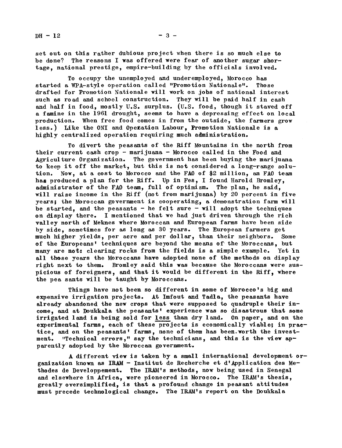$DH - 12$   $-3$   $-$ 

set out on this rather dubious project when there is so much else to be done? The reasons I was offered were fear of another sugar shortage, national prestige, empire-building by the officials involved.

To occupy the unemployed and underemployed, Morocco has started a WPA-style operation called "Promotion Nationale'. Those drafted for Promotion Nationale will work on jobs of national interest such as road and school construction. They will be paid half in cash and half in food, mostly U.S. surplus. (U.S. food, though it staved off a famine in the 1961 drought, seems to have a depressing effect on local production. When free food comes in from the outside, the farmers grow less.) Like the ONI and Ope ${\tt station\ Labour,}$  Promotion Nationale is a highly centralized operation requiring much administration,

To divert the peasants of the Riff Mountains in the north from their current cash crop - marijuana - Morocco called in the Food and Agriculture Organization. The government has been buying the marijuana to keep it off the market, but this is not considered a long-range solution. Now, at a cost to Morocco and the FA0 of \$2 million, an FA0 team has produced a plan for the Riff. Up in Fes, I found Harold Bromley, administrator of the FAO team, full of optimism. The plan, he said, will raise income in the Riff (not from marijuana) by 20 percent in five years; the Moroccan government is cooperating a demonstration farm will be started, and the peasants - he felt sure - will adopt the techniques on display there. I mentioned that we had just driven through the rich valley north of Meknes where Moroccan and. European farms have been side by side, sometimes for as long as 30 years. The European farmers get much higher yields, per acre and per dollar, than their neighbors. Some of the Europeans' techniques are beyond the means of the Moroccans, but many are not: clearing rocks from the fields is a simple example. Yet in all those years the Moroccans have adopted none of the methods on display. right next to them. Bromley said this was because the Moroccans were suspicious of foreigners, and that it would be different in the Riff, where the pea sants will be taught by Moroccans

Things have not been so different in some of Morocco's big and expensive irrigation projects. At Imfout and Tadla, the peasants have already abandoned the new crops that were supposed to quadruple their income, and at Doukkala the peasants' experience was so disastrous that some irrigated land is being sold for less than dry land. On paper, and on the experimental farms, each of these projects is economically viable; in practice, and on the peasants' farms, none of them has been worth the investment. "Technical errors," say the technicians, and this is the view apparently adopted by the Moroccan government

A different view is taken by a small international development organization known as IRAM - Institut de Recherche et d'Application des Methodes de Developpement. The IRAM's methods, now being used in Senegal and elsewhere in Africa, were pioneered in Morocco. The IRAM's thesis, greatly oversimplified, is that a profound change in peasant attitudes must precede technological change. The IRAM's report on the Doukkala